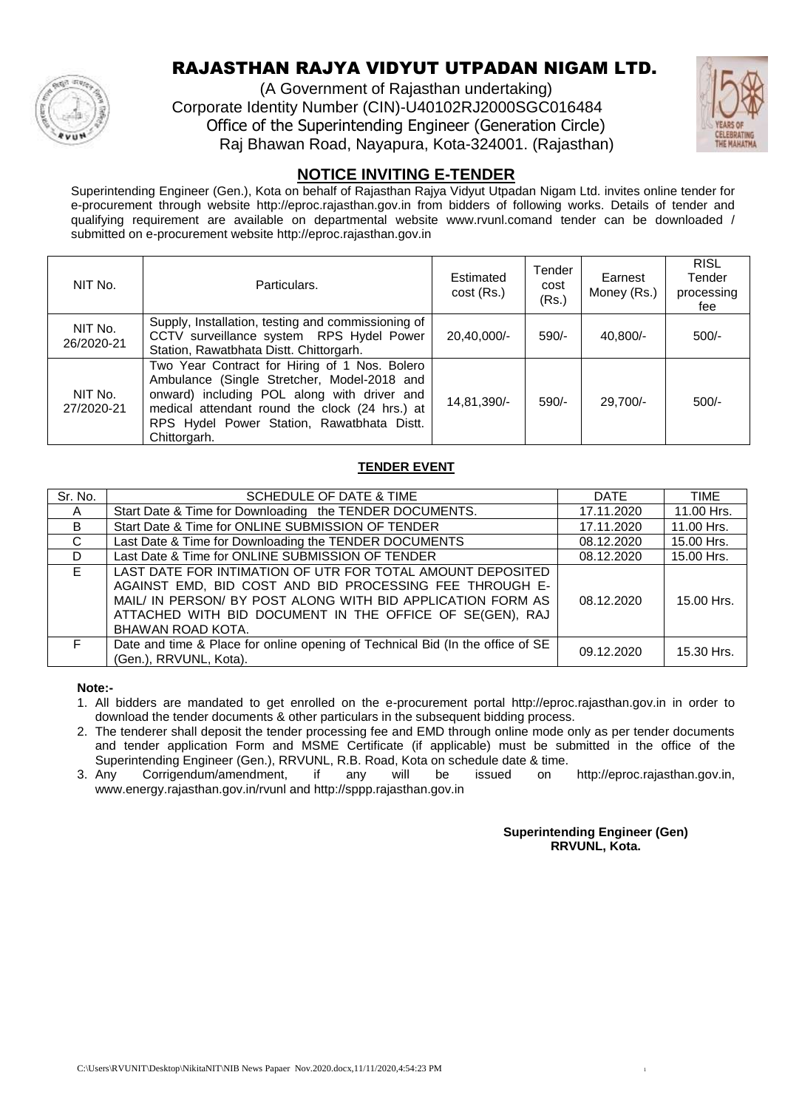

### RAJASTHAN RAJYA VIDYUT UTPADAN NIGAM LTD.

(A Government of Rajasthan undertaking) Corporate Identity Number (CIN)-U40102RJ2000SGC016484 Office of the Superintending Engineer (Generation Circle) Raj Bhawan Road, Nayapura, Kota-324001. (Rajasthan)



#### **NOTICE INVITING E-TENDER**

Superintending Engineer (Gen.), Kota on behalf of Rajasthan Rajya Vidyut Utpadan Nigam Ltd. invites online tender for e-procurement through website http://eproc.rajasthan.gov.in from bidders of following works. Details of tender and qualifying requirement are available on departmental website www.rvunl.comand tender can be downloaded / submitted on e-procurement website http://eproc.rajasthan.gov.in

| NIT No.               | Particulars.                                                                                                                                                                                                                                                | Estimated<br>cost (Rs.) | Tender<br>cost<br>(Rs.) | Earnest<br>Money (Rs.) | <b>RISL</b><br>Tender<br>processing<br>fee |
|-----------------------|-------------------------------------------------------------------------------------------------------------------------------------------------------------------------------------------------------------------------------------------------------------|-------------------------|-------------------------|------------------------|--------------------------------------------|
| NIT No.<br>26/2020-21 | Supply, Installation, testing and commissioning of<br>CCTV surveillance system RPS Hydel Power<br>Station, Rawatbhata Distt. Chittorgarh.                                                                                                                   | 20,40,000/-             | $590/-$                 | $40,800/-$             | $500/-$                                    |
| NIT No.<br>27/2020-21 | Two Year Contract for Hiring of 1 Nos. Bolero<br>Ambulance (Single Stretcher, Model-2018 and<br>onward) including POL along with driver and<br>medical attendant round the clock (24 hrs.) at<br>RPS Hydel Power Station, Rawatbhata Distt.<br>Chittorgarh. | 14,81,390/-             | $590/-$                 | 29.700/-               | $500/-$                                    |

#### **TENDER EVENT**

| Sr. No. | SCHEDULE OF DATE & TIME                                                                                                                                                                                                                                               | <b>DATE</b> | TIME       |
|---------|-----------------------------------------------------------------------------------------------------------------------------------------------------------------------------------------------------------------------------------------------------------------------|-------------|------------|
| A       | Start Date & Time for Downloading the TENDER DOCUMENTS.                                                                                                                                                                                                               | 17.11.2020  | 11.00 Hrs. |
| B.      | Start Date & Time for ONLINE SUBMISSION OF TENDER                                                                                                                                                                                                                     | 17.11.2020  | 11.00 Hrs. |
| C       | Last Date & Time for Downloading the TENDER DOCUMENTS                                                                                                                                                                                                                 | 08.12.2020  | 15.00 Hrs. |
| D       | Last Date & Time for ONLINE SUBMISSION OF TENDER                                                                                                                                                                                                                      | 08.12.2020  | 15.00 Hrs. |
| E.      | LAST DATE FOR INTIMATION OF UTR FOR TOTAL AMOUNT DEPOSITED<br>AGAINST EMD, BID COST AND BID PROCESSING FEE THROUGH E-<br>MAIL/ IN PERSON/ BY POST ALONG WITH BID APPLICATION FORM AS<br>ATTACHED WITH BID DOCUMENT IN THE OFFICE OF SE(GEN), RAJ<br>BHAWAN ROAD KOTA. | 08.12.2020  | 15.00 Hrs. |
| F.      | Date and time & Place for online opening of Technical Bid (In the office of SE<br>(Gen.), RRVUNL, Kota).                                                                                                                                                              | 09.12.2020  | 15.30 Hrs. |

**Note:-**

1. All bidders are mandated to get enrolled on the e-procurement portal http://eproc.rajasthan.gov.in in order to download the tender documents & other particulars in the subsequent bidding process.

2. The tenderer shall deposit the tender processing fee and EMD through online mode only as per tender documents and tender application Form and MSME Certificate (if applicable) must be submitted in the office of the Superintending Engineer (Gen.), RRVUNL, R.B. Road, Kota on schedule date & time.

3. Any Corrigendum/amendment, if any will be issued on http://eproc.rajasthan.gov.in, www.energy.rajasthan.gov.in/rvunl and http://sppp.rajasthan.gov.in

> **Superintending Engineer (Gen) RRVUNL, Kota.**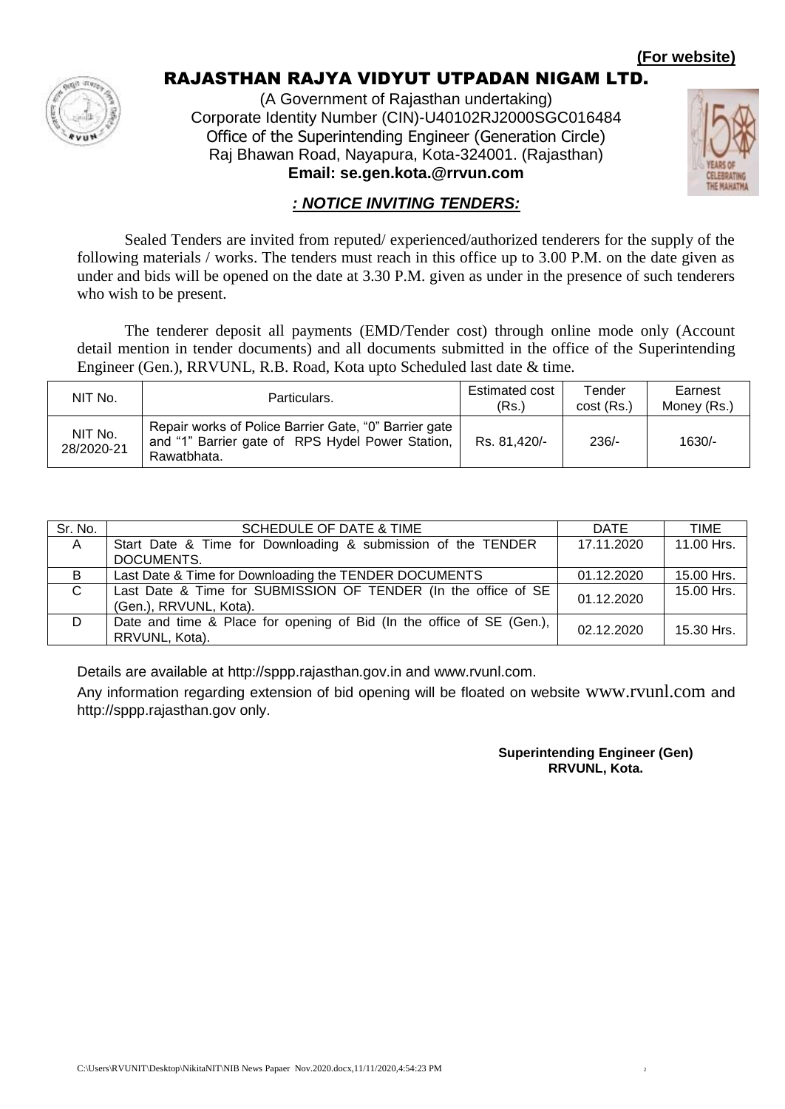#### **(For website)**



### RAJASTHAN RAJYA VIDYUT UTPADAN NIGAM LTD.

(A Government of Rajasthan undertaking) Corporate Identity Number (CIN)-U40102RJ2000SGC016484 Office of the Superintending Engineer (Generation Circle) Raj Bhawan Road, Nayapura, Kota-324001. (Rajasthan) **Email: se.gen.kota.@rrvun.com**



### *: NOTICE INVITING TENDERS:*

Sealed Tenders are invited from reputed/ experienced/authorized tenderers for the supply of the following materials / works. The tenders must reach in this office up to 3.00 P.M. on the date given as under and bids will be opened on the date at 3.30 P.M. given as under in the presence of such tenderers who wish to be present.

The tenderer deposit all payments (EMD/Tender cost) through online mode only (Account detail mention in tender documents) and all documents submitted in the office of the Superintending Engineer (Gen.), RRVUNL, R.B. Road, Kota upto Scheduled last date & time.

| NIT No.               | Particulars.                                                                                                             | Estimated cost<br>(Rs.) | Tender<br>cost (Rs.) | Earnest<br>Money (Rs.) |
|-----------------------|--------------------------------------------------------------------------------------------------------------------------|-------------------------|----------------------|------------------------|
| NIT No.<br>28/2020-21 | Repair works of Police Barrier Gate, "0" Barrier gate<br>and "1" Barrier gate of RPS Hydel Power Station,<br>Rawatbhata. | Rs. 81,420/-            | $236/-$              | $1630/-$               |

| Sr. No.  | SCHEDULE OF DATE & TIME                                               | DATE       | <b>TIME</b> |
|----------|-----------------------------------------------------------------------|------------|-------------|
| <b>A</b> | Start Date & Time for Downloading & submission of the TENDER          | 17.11.2020 | 11.00 Hrs.  |
|          | DOCUMENTS.                                                            |            |             |
| B        | Last Date & Time for Downloading the TENDER DOCUMENTS                 | 01.12.2020 | 15.00 Hrs.  |
| C.       | Last Date & Time for SUBMISSION OF TENDER (In the office of SE        | 01.12.2020 | 15.00 Hrs.  |
|          | (Gen.), RRVUNL, Kota).                                                |            |             |
| D        | Date and time & Place for opening of Bid (In the office of SE (Gen.), | 02.12.2020 | 15.30 Hrs.  |
|          | RRVUNL, Kota).                                                        |            |             |

Details are available at http://sppp.rajasthan.gov.in and www.rvunl.com.

Any information regarding extension of bid opening will be floated on website www.rvunl.com and http://sppp.rajasthan.gov only.

> **Superintending Engineer (Gen) RRVUNL, Kota.**